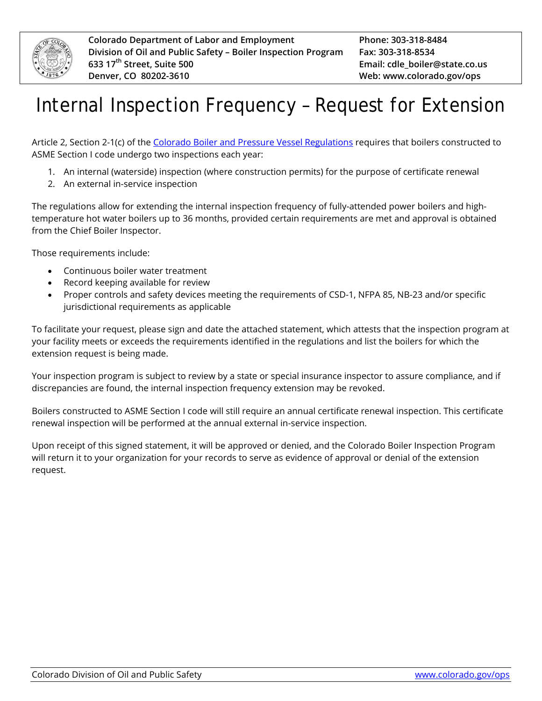

## Internal Inspection Frequency – Request for Extension

Article 2, Section 2-1(c) of the [Colorado Boiler and Pressure Vessel](https://www.colorado.gov/ops/RegulationsStatutes) Regulations requires that boilers constructed to ASME Section I code undergo two inspections each year:

- 1. An internal (waterside) inspection (where construction permits) for the purpose of certificate renewal
- 2. An external in-service inspection

The regulations allow for extending the internal inspection frequency of fully-attended power boilers and hightemperature hot water boilers up to 36 months, provided certain requirements are met and approval is obtained from the Chief Boiler Inspector.

Those requirements include:

- Continuous boiler water treatment
- Record keeping available for review
- Proper controls and safety devices meeting the requirements of CSD-1, NFPA 85, NB-23 and/or specific jurisdictional requirements as applicable

To facilitate your request, please sign and date the attached statement, which attests that the inspection program at your facility meets or exceeds the requirements identified in the regulations and list the boilers for which the extension request is being made.

Your inspection program is subject to review by a state or special insurance inspector to assure compliance, and if discrepancies are found, the internal inspection frequency extension may be revoked.

Boilers constructed to ASME Section I code will still require an annual certificate renewal inspection. This certificate renewal inspection will be performed at the annual external in-service inspection.

Upon receipt of this signed statement, it will be approved or denied, and the Colorado Boiler Inspection Program will return it to your organization for your records to serve as evidence of approval or denial of the extension request.